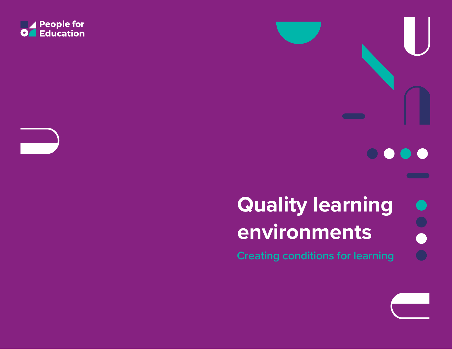

# **Quality learning environments**

 $\bullet$ 

O)

 $\bullet$ 

**Creating conditions for learning**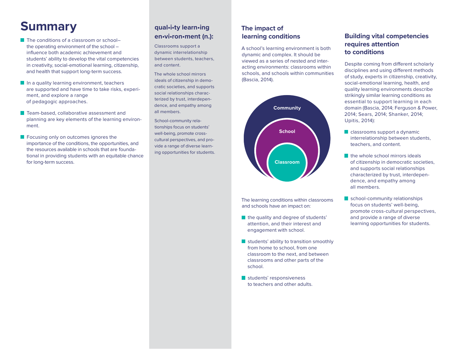# **Summary**

- The conditions of a classroom or school– the operating environment of the school – influence both academic achievement and students' ability to develop the vital competencies in creativity, social-emotional learning, citizenship, and health that support long-term success.
- In a quality learning environment, teachers are supported and have time to take risks, experiment, and explore a range of pedagogic approaches.
- **Team-based, collaborative assessment and** planning are key elements of the learning environment.
- **Focusing only on outcomes ignores the** importance of the conditions, the opportunities, and the resources available in schools that are foundational in providing students with an equitable chance for long-term success.

## **qual•i•ty learn•ing en•vi•ron•ment (n.):**

Classrooms support a dynamic interrelationship between students, teachers, and content.

The whole school mirrors ideals of citizenship in democratic societies, and supports social relationships characterized by trust, interdependence, and empathy among all members.

School-community relationships focus on students' well-being, promote crosscultural perspectives, and provide a range of diverse learning opportunities for students.

#### **The impact of learning conditions**

A school's learning environment is both dynamic and complex. It should be viewed as a series of nested and interacting environments: classrooms within schools, and schools within communities (Bascia, 2014).



The learning conditions within classrooms and schools have an impact on:

- the quality and degree of students' attention, and their interest and engagement with school.
- students' ability to transition smoothly from home to school, from one classroom to the next, and between classrooms and other parts of the school.
- students' responsiveness to teachers and other adults.

#### **Building vital competencies requires attention to conditions**

Despite coming from different scholarly disciplines and using different methods of study, experts in citizenship, creativity, social-emotional learning, health, and quality learning environments describe strikingly similar learning conditions as essential to support learning in each domain (Bascia, 2014; Ferguson & Power, 2014; Sears, 2014; Shanker, 2014; Upitis, 2014):

- classrooms support a dynamic interrelationship between students, teachers, and content.
- the whole school mirrors ideals of citizenship in democratic societies, and supports social relationships characterized by trust, interdependence, and empathy among all members.
- school-community relationships focus on students' well-being, promote cross-cultural perspectives, and provide a range of diverse learning opportunities for students.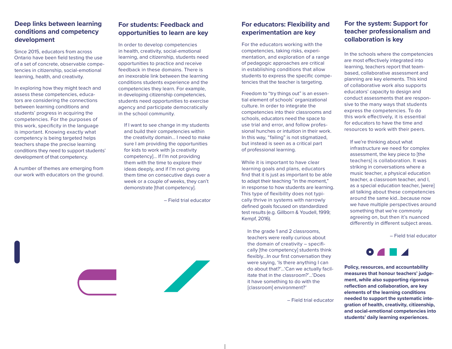#### **Deep links between learning conditions and competency development**

Since 2015, educators from across Ontario have been field testing the use of a set of concrete, observable competencies in citizenship, social-emotional learning, health, and creativity.

In exploring how they might teach and assess these competencies, educators are considering the connections between learning conditions and students' progress in acquiring the competencies. For the purposes of this work, specificity in the language is important. Knowing exactly what competency is being targeted helps teachers shape the precise learning conditions they need to support students' development of that competency.

A number of themes are emerging from our work with educators on the ground.

## **For students: Feedback and opportunities to learn are key**

In order to develop competencies in health, creativity, social-emotional learning, and citizenship, students need opportunities to practice and receive feedback in these domains. There is an inexorable link between the learning conditions students experience and the competencies they learn. For example, in developing citizenship competencies, students need opportunities to exercise agency and participate democratically in the school community.

If I want to see change in my students and build their competencies within the creativity domain… I need to make sure I am providing the opportunities for kids to work with [a creativity competency]… If I'm not providing them with the time to explore their ideas deeply, and if I'm not giving them time on consecutive days over a week or a couple of weeks, they can't demonstrate [that competency].

– Field trial educator



#### **For educators: Flexibility and experimentation are key**

For the educators working with the competencies, taking risks, experimentation, and exploration of a range of pedagogic approaches are critical in establishing conditions that allow students to express the specific competencies that the teacher is targeting.

Freedom to "try things out" is an essential element of schools' organizational culture. In order to integrate the competencies into their classrooms and schools, educators need the space to use trial and error, and follow professional hunches or intuition in their work. In this way, "failing" is not stigmatized, but instead is seen as a critical part of professional learning.

While it is important to have clear learning goals and plans, educators find that it is just as important to be able to adapt their teaching "in the moment," in response to how students are learning. This type of flexibility does not typically thrive in systems with narrowly defined goals focused on standardized test results (e.g. Gillborn & Youdell, 1999; Kempf, 2016).

In the grade 1 and 2 classrooms, teachers were really curious about the domain of creativity – specifically [the competency] students think flexibly…In our first conversation they were saying, 'Is there anything I can do about that?'…'Can we actually facilitate that in the classroom?'…'Does it have something to do with the [classroom] environment?'

– Field trial educator

#### **For the system: Support for teacher professionalism and collaboration is key**

In the schools where the competencies are most effectively integrated into learning, teachers report that teambased, collaborative assessment and planning are key elements. This kind of collaborative work also supports educators' capacity to design and conduct assessments that are responsive to the many ways that students express the competencies. To do this work effectively, it is essential for educators to have the time and resources to work with their peers.

If we're thinking about what infrastructure we need for complex assessment, the key piece to [the teachers] is collaboration. It was striking in conversations where a music teacher, a physical education teacher, a classroom teacher, and I, as a special education teacher, [were] all talking about these competencies around the same kid…because now we have multiple perspectives around something that we're commonly agreeing on, but then it's nuanced differently in different subject areas.

– Field trial educator



**Policy, resources, and accountability measures that honour teachers' judgement, while also supporting rigorous reflection and collaboration, are key elements of the learning conditions needed to support the systematic integration of health, creativity, citizenship, and social-emotional competencies into students' daily learning experiences.**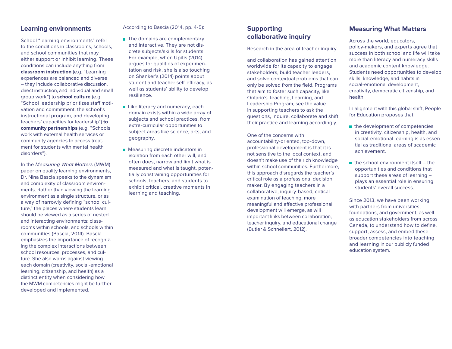#### **Learning environments**

School "learning environments" refer to the conditions in classrooms, schools, and school communities that may either support or inhibit learning. These conditions can include anything from **classroom instruction** (e.g. "Learning experiences are balanced and diverse – they include collaborative discussion, direct instruction, and individual and small group work") to **school culture** (e.g. "School leadership prioritizes staff motivation and commitment, the school's instructional program, and developing teachers' capacities for leadership") **to community partnerships** (e.g. "Schools work with external health services or community agencies to access treatment for students with mental health disorders").

In the *Measuring What Matters* (MWM) paper on quality learning environments, Dr. Nina Bascia speaks to the dynamism and complexity of classroom environments. Rather than viewing the learning environment as a single structure, or as a way of narrowly defining "school culture," the places where students learn should be viewed as a series of nested and interacting environments: classrooms within schools, and schools within communities (Bascia, 2014). Bascia emphasizes the importance of recognizing the complex interactions between school resources, processes, and culture. She also warns against viewing each domain (creativity, social-emotional learning, citizenship, and health) as a distinct entity when considering how the MWM competencies might be further developed and implemented.

According to Bascia (2014, pp. 4-5):

- **The domains are complementary** and interactive. They are not discrete subjects/skills for students. For example, when Upitis (2014) argues for qualities of experimentation and risk, she is also touching on Shanker's (2014) points about student and teacher self-efficacy, as well as students' ability to develop resilience.
- **Like literacy and numeracy, each** domain exists within a wide array of subjects and school practices, from extra-curricular opportunities to subject areas like science, arts, and geography.
- **Measuring discrete indicators in** isolation from each other will, and often does, narrow and limit what is measured and what is taught, potentially constraining opportunities for schools, teachers, and students to exhibit critical, creative moments in learning and teaching.

#### **Supporting collaborative inquiry**

Research in the area of teacher inquiry

and collaboration has gained attention worldwide for its capacity to engage stakeholders, build teacher leaders, and solve contextual problems that can only be solved from the field. Programs that aim to foster such capacity, like Ontario's Teaching, Learning, and Leadership Program, see the value in supporting teachers to ask the questions, inquire, collaborate and shift their practice and learning accordingly.

One of the concerns with accountability-oriented, top-down, professional development is that it is not sensitive to the local context, and doesn't make use of the rich knowledge within school communities. Furthermore, this approach disregards the teacher's critical role as a professional decision maker. By engaging teachers in a collaborative, inquiry-based, critical examination of teaching, more meaningful and effective professional development will emerge, as will important links between collaboration, teacher inquiry, and educational change (Butler & Schnellert, 2012).

#### **Measuring What Matters**

Across the world, educators, policy-makers, and experts agree that success in both school and life will take more than literacy and numeracy skills and academic content knowledge. Students need opportunities to develop skills, knowledge, and habits in social-emotional development, creativity, democratic citizenship, and health.

In alignment with this global shift, People for Education proposes that:

- $\blacksquare$  the development of competencies in creativity, citizenship, health, and social-emotional learning is as essential as traditional areas of academic achievement.
- $\blacksquare$  the school environment itself the opportunities and conditions that support these areas of learning – plays an essential role in ensuring students' overall success.

Since 2013, we have been working with partners from universities, foundations, and government, as well as education stakeholders from across Canada, to understand how to define, support, assess, and embed these broader competencies into teaching and learning in our publicly funded education system.